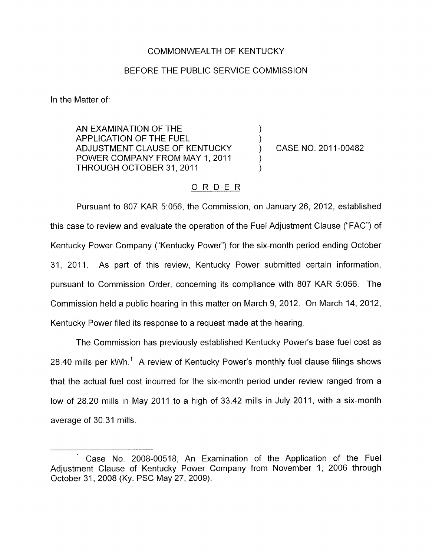## COMMONWEALTH OF KENTUCKY

## BEFORE THE PUBLIC SERVICE COMMISSION

In the Matter of:

AN EXAMINATION OF THE<br>APPLICATION OF THE FUEL ADJUSTMENT CLAUSE OF KENTUCKY (CASE NO. 2011-00482) POWER COMPANY FROM MAY 1, 2011 THROUGH OCTOBER 31, 2011

## ORDER

Pursuant to 807 KAR 5:056, the Commission, on January 26, 2012, established this case to review and evaluate the operation of the Fuel Adjustment Clause ("FAC") of Kentucky Power Company ("Kentucky Power") for the six-month period ending October 31, 2011. As part of this review, Kentucky Power submitted certain information, pursuant to Commission Order, concerning its compliance with 807 KAR 5:056. The Commission held a public hearing in this matter on March 9, 2012. On March 14, 2012, Kentucky Power filed its response to a request made at the hearing.

The Commission has previously established Kentucky Power's base fuel cost as 28.40 mills per  $kWh$ <sup>1</sup> A review of Kentucky Power's monthly fuel clause filings shows that the actual fuel cost incurred for the six-month period under review ranged from a low of 28.20 mills in May 2011 to a high of 33.42 mills in July 2011, with a six-month average of 30.31 mills.

<sup>&</sup>lt;sup>1</sup> Case No. 2008-00518, An Examination of the Application of the Fuel Adjustment Clause of Kentucky Power Company from November 1, 2006 through October 31, 2008 (Ky. PSC May 27, 2009).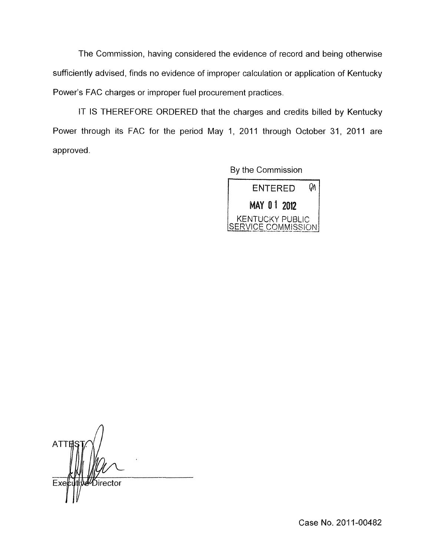The Commission, having considered the evidence of record and being otherwise sufficiently advised, finds no evidence of improper calculation or application of Kentucky Power's FAC charges or improper fuel procurement practices.

IT IS THEREFORE ORDERED that the charges and credits billed by Kentucky Power through its FAC for the period May 1, 2011 through October 31, 2011 are approved.

By the Commission



**ATT** Ďirector Ex

Case No. 2011-00482